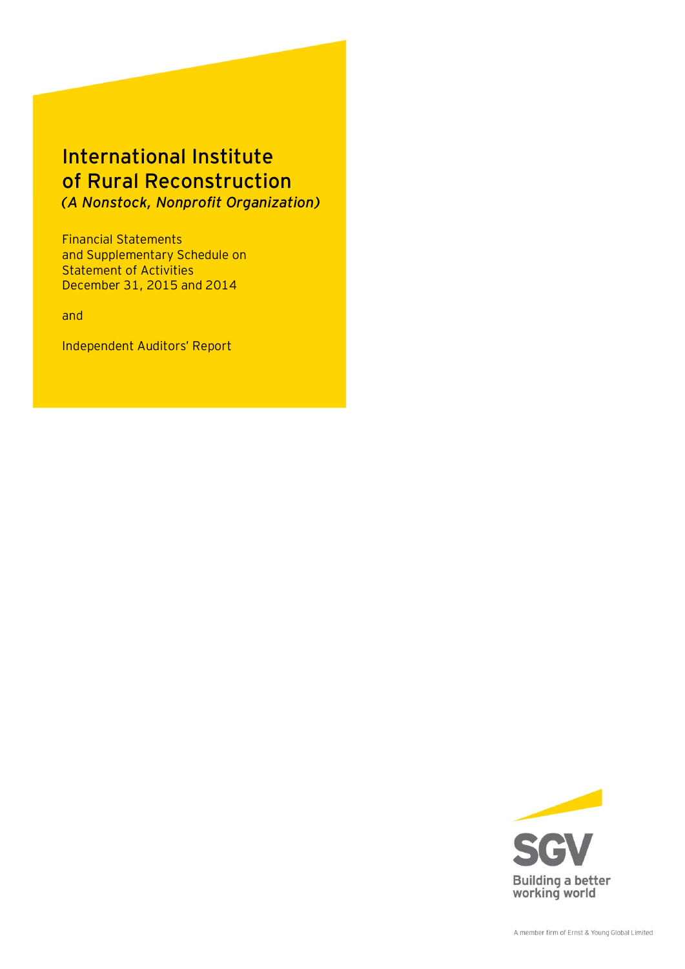# International Institute of Rural Reconstruction *(A Nonstock, Nonprofit Organization)*

Financial Statements and Supplementary Schedule on Statement of Activities December 31, 2015 and 2014

and

Independent Auditors' Report

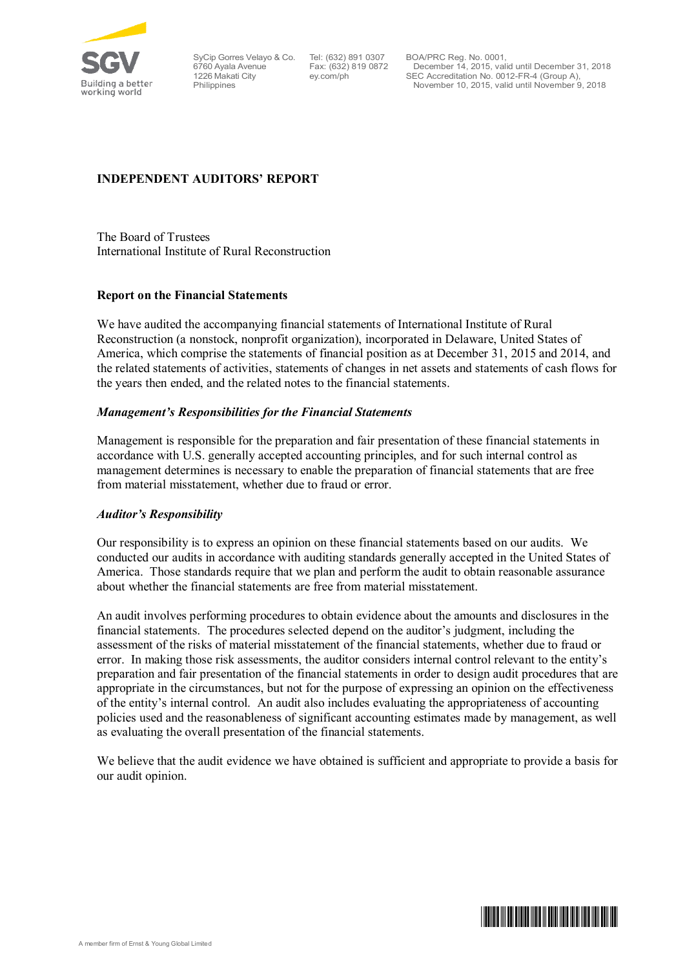

SyCip Gorres Velayo & Co. 6760 Ayala Avenue 1226 Makati City Philippines

Tel: (632) 891 0307 Fax: (632) 819 0872 ey.com/ph

BOA/PRC Reg. No. 0001, December 14, 2015, valid until December 31, 2018 SEC Accreditation No. 0012-FR-4 (Group A), November 10, 2015, valid until November 9, 2018

## **INDEPENDENT AUDITORS' REPORT**

The Board of Trustees International Institute of Rural Reconstruction

### **Report on the Financial Statements**

We have audited the accompanying financial statements of International Institute of Rural Reconstruction (a nonstock, nonprofit organization), incorporated in Delaware, United States of America, which comprise the statements of financial position as at December 31, 2015 and 2014, and the related statements of activities, statements of changes in net assets and statements of cash flows for the years then ended, and the related notes to the financial statements.

### *Management's Responsibilities for the Financial Statements*

Management is responsible for the preparation and fair presentation of these financial statements in accordance with U.S. generally accepted accounting principles, and for such internal control as management determines is necessary to enable the preparation of financial statements that are free from material misstatement, whether due to fraud or error.

## *Auditor's Responsibility*

Our responsibility is to express an opinion on these financial statements based on our audits. We conducted our audits in accordance with auditing standards generally accepted in the United States of America. Those standards require that we plan and perform the audit to obtain reasonable assurance about whether the financial statements are free from material misstatement.

An audit involves performing procedures to obtain evidence about the amounts and disclosures in the financial statements. The procedures selected depend on the auditor's judgment, including the assessment of the risks of material misstatement of the financial statements, whether due to fraud or error. In making those risk assessments, the auditor considers internal control relevant to the entity's preparation and fair presentation of the financial statements in order to design audit procedures that are appropriate in the circumstances, but not for the purpose of expressing an opinion on the effectiveness of the entity's internal control. An audit also includes evaluating the appropriateness of accounting policies used and the reasonableness of significant accounting estimates made by management, as well as evaluating the overall presentation of the financial statements.

We believe that the audit evidence we have obtained is sufficient and appropriate to provide a basis for our audit opinion.

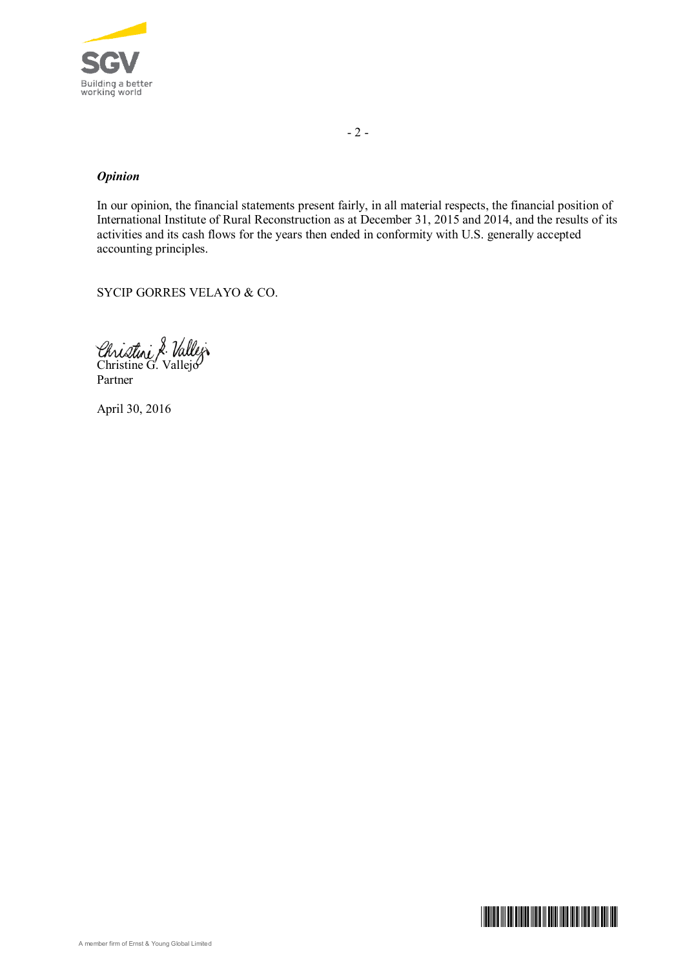

- 2 -

## *Opinion*

In our opinion, the financial statements present fairly, in all material respects, the financial position of International Institute of Rural Reconstruction as at December 31, 2015 and 2014, and the results of its activities and its cash flows for the years then ended in conformity with U.S. generally accepted accounting principles.

SYCIP GORRES VELAYO & CO.

Christini & Vallejo<br>Christine G. Vallejo

Partner

April 30, 2016

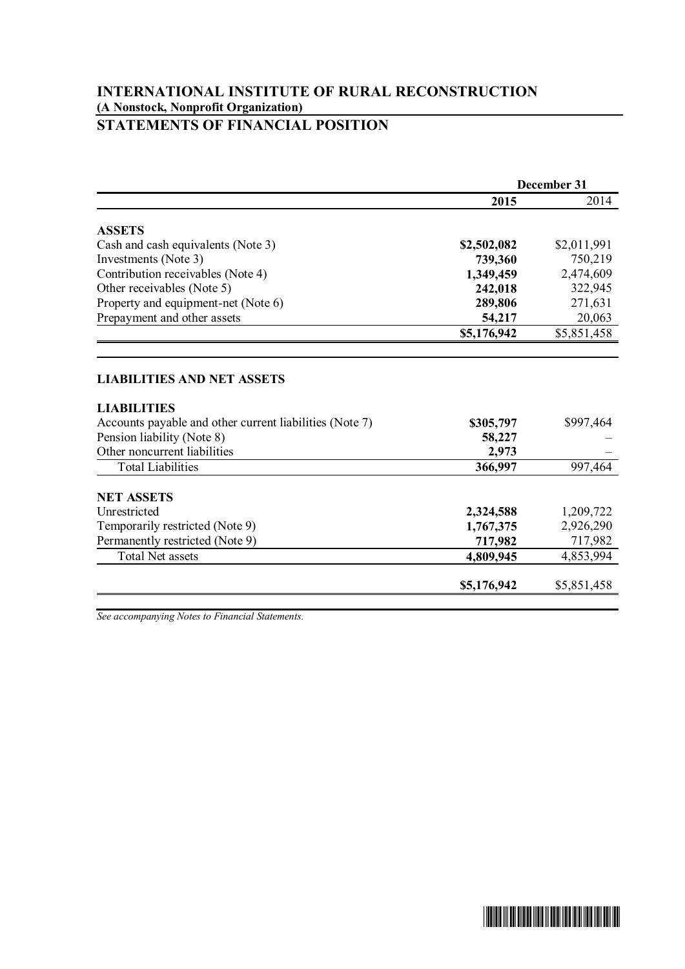## **STATEMENTS OF FINANCIAL POSITION**

| 2015<br>\$2,502,082<br>739,360<br>1,349,459<br>242,018<br>289,806<br>54,217<br>\$5,176,942 | 2014<br>\$2,011,991<br>750,219<br>2,474,609<br>322,945<br>271,631<br>20,063<br>\$5,851,458 |
|--------------------------------------------------------------------------------------------|--------------------------------------------------------------------------------------------|
|                                                                                            |                                                                                            |
|                                                                                            |                                                                                            |
|                                                                                            |                                                                                            |
|                                                                                            |                                                                                            |
|                                                                                            |                                                                                            |
|                                                                                            |                                                                                            |
|                                                                                            |                                                                                            |
|                                                                                            |                                                                                            |
|                                                                                            |                                                                                            |
|                                                                                            |                                                                                            |
| \$305,797                                                                                  | \$997,464                                                                                  |
|                                                                                            |                                                                                            |
|                                                                                            |                                                                                            |
|                                                                                            | 997,464                                                                                    |
|                                                                                            |                                                                                            |
|                                                                                            | 1,209,722                                                                                  |
|                                                                                            | 2,926,290                                                                                  |
|                                                                                            | 717,982                                                                                    |
| 4,809,945                                                                                  | 4,853,994                                                                                  |
| \$5,176,942                                                                                | \$5,851,458                                                                                |
|                                                                                            | 58,227<br>2,973<br>366,997<br>2,324,588<br>1,767,375<br>717,982                            |

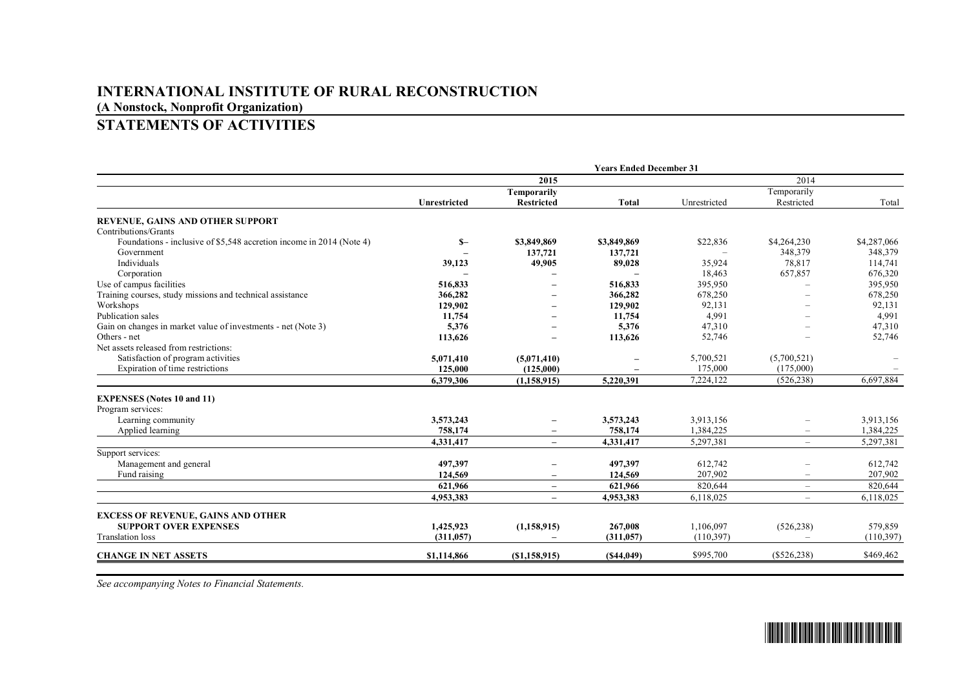## **STATEMENTS OF ACTIVITIES**

|                                                                      |              |                          | <b>Years Ended December 31</b> |              |                          |             |
|----------------------------------------------------------------------|--------------|--------------------------|--------------------------------|--------------|--------------------------|-------------|
|                                                                      |              | 2015                     |                                |              | 2014                     |             |
|                                                                      |              | <b>Temporarily</b>       |                                |              | Temporarily              |             |
|                                                                      | Unrestricted | <b>Restricted</b>        | <b>Total</b>                   | Unrestricted | Restricted               | Total       |
| <b>REVENUE, GAINS AND OTHER SUPPORT</b>                              |              |                          |                                |              |                          |             |
| Contributions/Grants                                                 |              |                          |                                |              |                          |             |
| Foundations - inclusive of \$5,548 accretion income in 2014 (Note 4) | $S-$         | \$3,849,869              | \$3,849,869                    | \$22,836     | \$4,264,230              | \$4,287,066 |
| Government                                                           |              | 137,721                  | 137,721                        |              | 348,379                  | 348,379     |
| Individuals                                                          | 39,123       | 49,905                   | 89,028                         | 35,924       | 78,817                   | 114,741     |
| Corporation                                                          |              |                          |                                | 18,463       | 657,857                  | 676,320     |
| Use of campus facilities                                             | 516,833      | $\overline{\phantom{0}}$ | 516,833                        | 395,950      |                          | 395,950     |
| Training courses, study missions and technical assistance            | 366,282      |                          | 366,282                        | 678,250      |                          | 678,250     |
| Workshops                                                            | 129,902      |                          | 129,902                        | 92,131       |                          | 92,131      |
| Publication sales                                                    | 11,754       |                          | 11,754                         | 4,991        |                          | 4,991       |
| Gain on changes in market value of investments - net (Note 3)        | 5,376        |                          | 5,376                          | 47,310       |                          | 47,310      |
| Others - net                                                         | 113,626      | $\overline{\phantom{0}}$ | 113,626                        | 52,746       |                          | 52,746      |
| Net assets released from restrictions:                               |              |                          |                                |              |                          |             |
| Satisfaction of program activities                                   | 5,071,410    | (5,071,410)              | $\overline{\phantom{0}}$       | 5,700,521    | (5,700,521)              |             |
| Expiration of time restrictions                                      | 125,000      | (125,000)                |                                | 175,000      | (175,000)                |             |
|                                                                      | 6.379.306    | (1,158,915)              | 5.220.391                      | 7.224.122    | (526, 238)               | 6.697.884   |
| <b>EXPENSES</b> (Notes 10 and 11)                                    |              |                          |                                |              |                          |             |
| Program services:                                                    |              |                          |                                |              |                          |             |
| Learning community                                                   | 3,573,243    | $\overline{\phantom{m}}$ | 3,573,243                      | 3,913,156    |                          | 3,913,156   |
| Applied learning                                                     | 758,174      | $\overline{\phantom{0}}$ | 758,174                        | 1,384,225    |                          | 1,384,225   |
|                                                                      | 4,331,417    | $\overline{\phantom{0}}$ | 4,331,417                      | 5,297,381    | $\overline{\phantom{a}}$ | 5,297,381   |
| Support services:                                                    |              |                          |                                |              |                          |             |
| Management and general                                               | 497,397      | $\overline{\phantom{0}}$ | 497,397                        | 612,742      |                          | 612,742     |
| Fund raising                                                         | 124,569      | -                        | 124,569                        | 207.902      | $\overline{\phantom{a}}$ | 207,902     |
|                                                                      | 621,966      | $\overline{\phantom{m}}$ | 621,966                        | 820,644      | $\overline{\phantom{0}}$ | 820,644     |
|                                                                      | 4,953,383    | $\overline{\phantom{m}}$ | 4,953,383                      | 6,118,025    | $\overline{\phantom{a}}$ | 6,118,025   |
| <b>EXCESS OF REVENUE, GAINS AND OTHER</b>                            |              |                          |                                |              |                          |             |
| <b>SUPPORT OVER EXPENSES</b>                                         | 1,425,923    | (1,158,915)              | 267,008                        | 1,106,097    | (526, 238)               | 579,859     |
| <b>Translation</b> loss                                              | (311, 057)   | $\overline{\phantom{0}}$ | (311, 057)                     | (110,397)    | $\overline{\phantom{m}}$ | (110,397)   |
| <b>CHANGE IN NET ASSETS</b>                                          | \$1,114,866  | (S1, 158, 915)           | (S44, 049)                     | \$995,700    | $(\$526,238)$            | \$469,462   |
|                                                                      |              |                          |                                |              |                          |             |

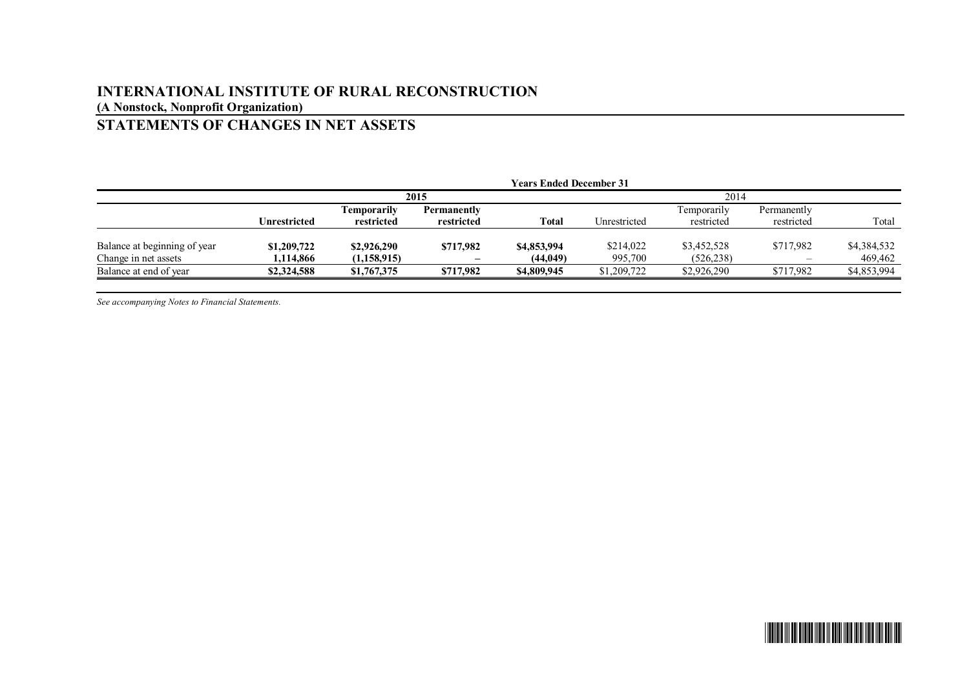## **STATEMENTS OF CHANGES IN NET ASSETS**

|                              |                     |             |                          | <b>Years Ended December 31</b> |              |              |                   |             |
|------------------------------|---------------------|-------------|--------------------------|--------------------------------|--------------|--------------|-------------------|-------------|
|                              |                     | 2015        |                          | 2014                           |              |              |                   |             |
|                              |                     | Temporarily | <b>Permanently</b>       |                                |              | l'emporarily | Permanently       |             |
|                              | <b>Unrestricted</b> | restricted  | restricted               | Total                          | Unrestricted | restricted   | restricted        | Total       |
| Balance at beginning of year | \$1,209,722         | \$2,926,290 | \$717,982                | \$4,853,994                    | \$214,022    | \$3,452,528  | \$717,982         | \$4,384,532 |
| Change in net assets         | 1,114,866           | (1,158,915) | $\overline{\phantom{a}}$ | (44, 049)                      | 995,700      | (526, 238)   | $\qquad \qquad -$ | 469,462     |
| Balance at end of year       | \$2,324,588         | \$1,767,375 | \$717.982                | \$4,809,945                    | \$1,209,722  | \$2,926,290  | \$717.982         | \$4,853,994 |
|                              |                     |             |                          |                                |              |              |                   |             |

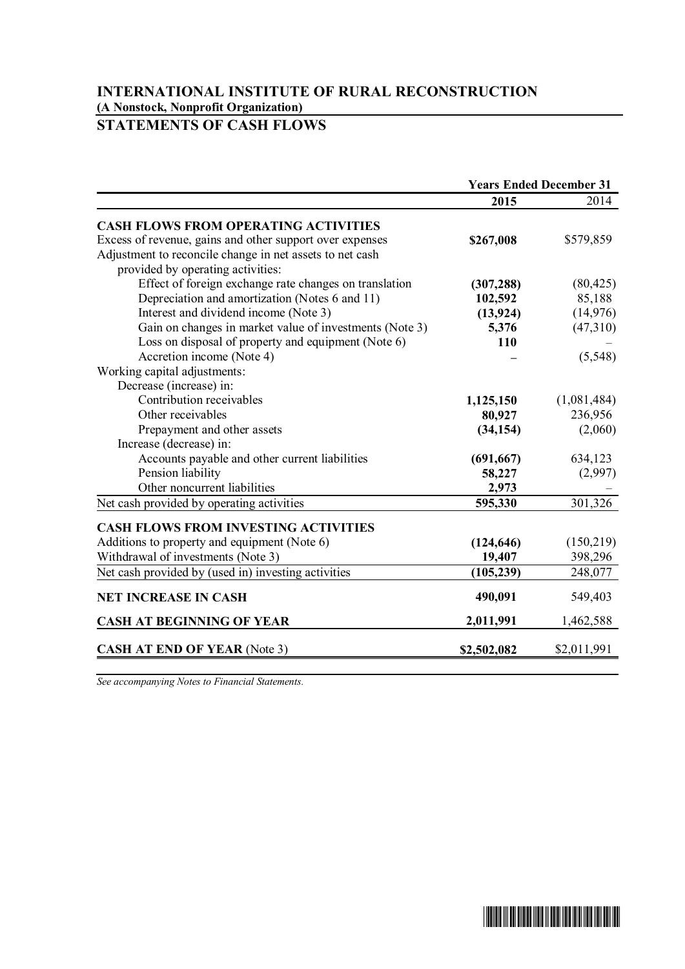## **STATEMENTS OF CASH FLOWS**

|                                                          | <b>Years Ended December 31</b> |             |
|----------------------------------------------------------|--------------------------------|-------------|
|                                                          | 2015                           | 2014        |
| <b>CASH FLOWS FROM OPERATING ACTIVITIES</b>              |                                |             |
| Excess of revenue, gains and other support over expenses | \$267,008                      | \$579,859   |
| Adjustment to reconcile change in net assets to net cash |                                |             |
| provided by operating activities:                        |                                |             |
| Effect of foreign exchange rate changes on translation   | (307, 288)                     | (80, 425)   |
| Depreciation and amortization (Notes 6 and 11)           | 102,592                        | 85,188      |
| Interest and dividend income (Note 3)                    | (13, 924)                      | (14,976)    |
| Gain on changes in market value of investments (Note 3)  | 5,376                          | (47,310)    |
| Loss on disposal of property and equipment (Note 6)      | 110                            |             |
| Accretion income (Note 4)                                |                                | (5,548)     |
| Working capital adjustments:                             |                                |             |
| Decrease (increase) in:                                  |                                |             |
| Contribution receivables                                 | 1,125,150                      | (1,081,484) |
| Other receivables                                        | 80,927                         | 236,956     |
| Prepayment and other assets                              | (34, 154)                      | (2,060)     |
| Increase (decrease) in:                                  |                                |             |
| Accounts payable and other current liabilities           | (691, 667)                     | 634,123     |
| Pension liability                                        | 58,227                         | (2,997)     |
| Other noncurrent liabilities                             | 2,973                          |             |
| Net cash provided by operating activities                | 595,330                        | 301,326     |
| <b>CASH FLOWS FROM INVESTING ACTIVITIES</b>              |                                |             |
| Additions to property and equipment (Note 6)             | (124, 646)                     | (150, 219)  |
| Withdrawal of investments (Note 3)                       | 19,407                         | 398,296     |
| Net cash provided by (used in) investing activities      | (105, 239)                     | 248,077     |
| <b>NET INCREASE IN CASH</b>                              | 490,091                        | 549,403     |
| <b>CASH AT BEGINNING OF YEAR</b>                         | 2,011,991                      | 1,462,588   |
| <b>CASH AT END OF YEAR (Note 3)</b>                      | \$2,502,082                    | \$2,011,991 |

\*SGVFS019120\*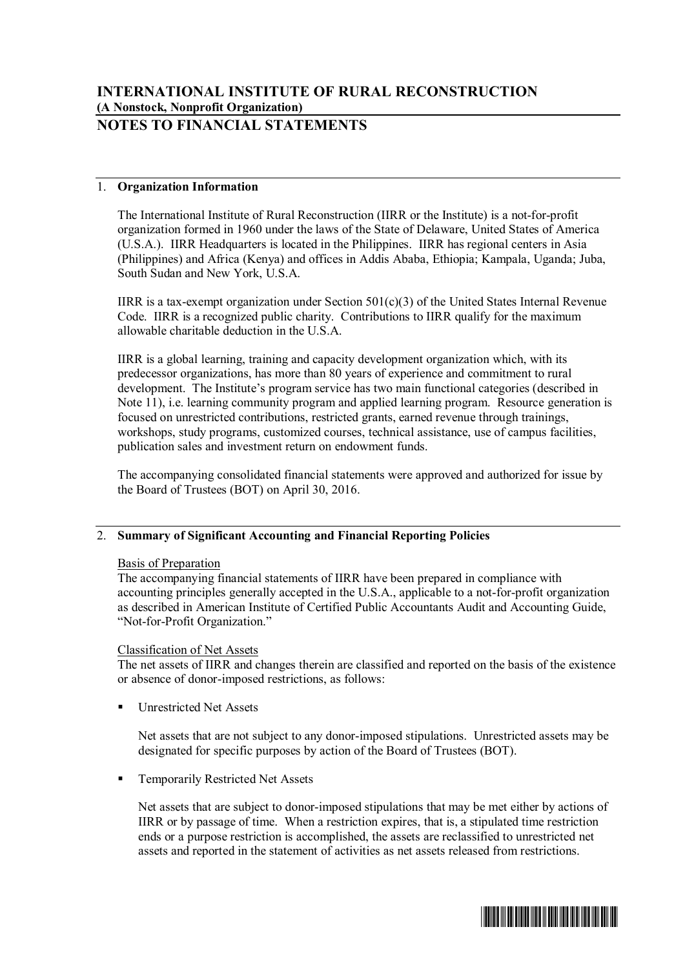## **NOTES TO FINANCIAL STATEMENTS**

## 1. **Organization Information**

The International Institute of Rural Reconstruction (IIRR or the Institute) is a not-for-profit organization formed in 1960 under the laws of the State of Delaware, United States of America (U.S.A.). IIRR Headquarters is located in the Philippines. IIRR has regional centers in Asia (Philippines) and Africa (Kenya) and offices in Addis Ababa, Ethiopia; Kampala, Uganda; Juba, South Sudan and New York, U.S.A.

IIRR is a tax-exempt organization under Section 501(c)(3) of the United States Internal Revenue Code. IIRR is a recognized public charity. Contributions to IIRR qualify for the maximum allowable charitable deduction in the U.S.A.

IIRR is a global learning, training and capacity development organization which, with its predecessor organizations, has more than 80 years of experience and commitment to rural development. The Institute's program service has two main functional categories (described in Note 11), i.e. learning community program and applied learning program. Resource generation is focused on unrestricted contributions, restricted grants, earned revenue through trainings, workshops, study programs, customized courses, technical assistance, use of campus facilities, publication sales and investment return on endowment funds.

The accompanying consolidated financial statements were approved and authorized for issue by the Board of Trustees (BOT) on April 30, 2016.

## 2. **Summary of Significant Accounting and Financial Reporting Policies**

## Basis of Preparation

The accompanying financial statements of IIRR have been prepared in compliance with accounting principles generally accepted in the U.S.A., applicable to a not-for-profit organization as described in American Institute of Certified Public Accountants Audit and Accounting Guide, "Not-for-Profit Organization."

## Classification of Net Assets

The net assets of IIRR and changes therein are classified and reported on the basis of the existence or absence of donor-imposed restrictions, as follows:

§ Unrestricted Net Assets

Net assets that are not subject to any donor-imposed stipulations. Unrestricted assets may be designated for specific purposes by action of the Board of Trustees (BOT).

§ Temporarily Restricted Net Assets

Net assets that are subject to donor-imposed stipulations that may be met either by actions of IIRR or by passage of time. When a restriction expires, that is, a stipulated time restriction ends or a purpose restriction is accomplished, the assets are reclassified to unrestricted net assets and reported in the statement of activities as net assets released from restrictions.

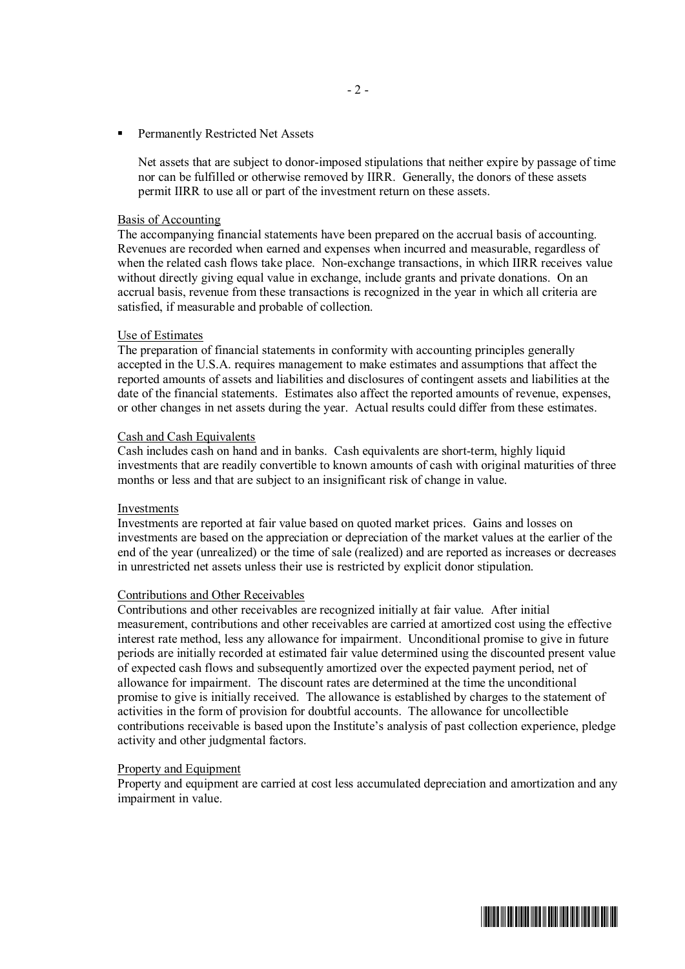§ Permanently Restricted Net Assets

Net assets that are subject to donor-imposed stipulations that neither expire by passage of time nor can be fulfilled or otherwise removed by IIRR. Generally, the donors of these assets permit IIRR to use all or part of the investment return on these assets.

#### Basis of Accounting

The accompanying financial statements have been prepared on the accrual basis of accounting. Revenues are recorded when earned and expenses when incurred and measurable, regardless of when the related cash flows take place. Non-exchange transactions, in which IIRR receives value without directly giving equal value in exchange, include grants and private donations. On an accrual basis, revenue from these transactions is recognized in the year in which all criteria are satisfied, if measurable and probable of collection.

#### Use of Estimates

The preparation of financial statements in conformity with accounting principles generally accepted in the U.S.A. requires management to make estimates and assumptions that affect the reported amounts of assets and liabilities and disclosures of contingent assets and liabilities at the date of the financial statements. Estimates also affect the reported amounts of revenue, expenses, or other changes in net assets during the year. Actual results could differ from these estimates.

#### Cash and Cash Equivalents

Cash includes cash on hand and in banks. Cash equivalents are short-term, highly liquid investments that are readily convertible to known amounts of cash with original maturities of three months or less and that are subject to an insignificant risk of change in value.

### Investments

Investments are reported at fair value based on quoted market prices. Gains and losses on investments are based on the appreciation or depreciation of the market values at the earlier of the end of the year (unrealized) or the time of sale (realized) and are reported as increases or decreases in unrestricted net assets unless their use is restricted by explicit donor stipulation.

## Contributions and Other Receivables

Contributions and other receivables are recognized initially at fair value. After initial measurement, contributions and other receivables are carried at amortized cost using the effective interest rate method, less any allowance for impairment. Unconditional promise to give in future periods are initially recorded at estimated fair value determined using the discounted present value of expected cash flows and subsequently amortized over the expected payment period, net of allowance for impairment. The discount rates are determined at the time the unconditional promise to give is initially received. The allowance is established by charges to the statement of activities in the form of provision for doubtful accounts. The allowance for uncollectible contributions receivable is based upon the Institute's analysis of past collection experience, pledge activity and other judgmental factors.

#### Property and Equipment

Property and equipment are carried at cost less accumulated depreciation and amortization and any impairment in value.

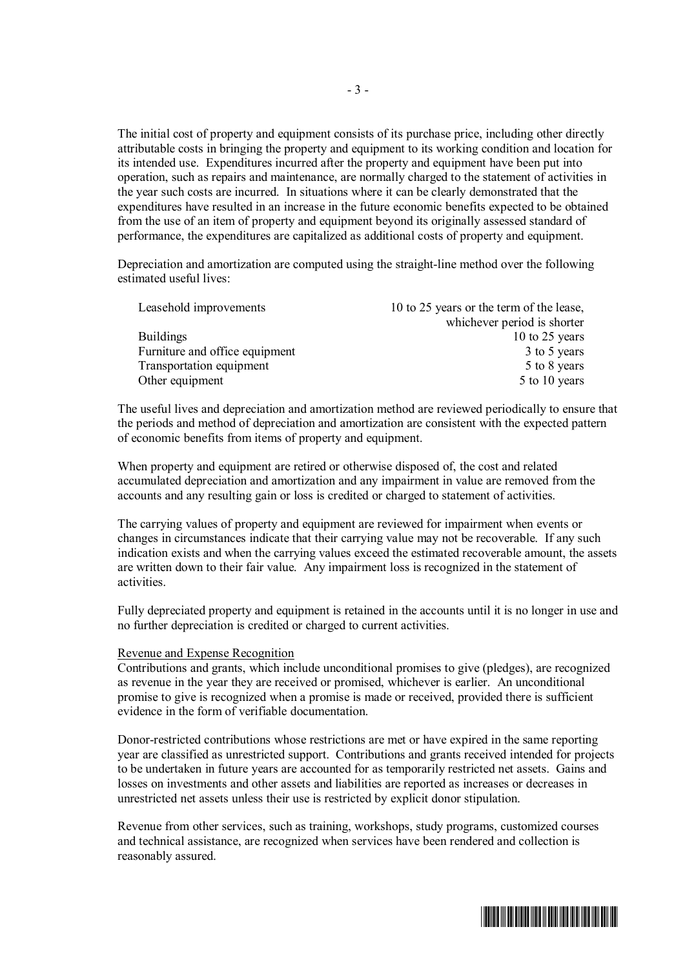The initial cost of property and equipment consists of its purchase price, including other directly attributable costs in bringing the property and equipment to its working condition and location for its intended use. Expenditures incurred after the property and equipment have been put into operation, such as repairs and maintenance, are normally charged to the statement of activities in the year such costs are incurred. In situations where it can be clearly demonstrated that the expenditures have resulted in an increase in the future economic benefits expected to be obtained from the use of an item of property and equipment beyond its originally assessed standard of performance, the expenditures are capitalized as additional costs of property and equipment.

Depreciation and amortization are computed using the straight-line method over the following estimated useful lives:

| Leasehold improvements         | 10 to 25 years or the term of the lease, |
|--------------------------------|------------------------------------------|
|                                | whichever period is shorter              |
| <b>Buildings</b>               | 10 to 25 years                           |
| Furniture and office equipment | 3 to 5 years                             |
| Transportation equipment       | 5 to 8 years                             |
| Other equipment                | 5 to 10 years                            |

The useful lives and depreciation and amortization method are reviewed periodically to ensure that the periods and method of depreciation and amortization are consistent with the expected pattern of economic benefits from items of property and equipment.

When property and equipment are retired or otherwise disposed of, the cost and related accumulated depreciation and amortization and any impairment in value are removed from the accounts and any resulting gain or loss is credited or charged to statement of activities.

The carrying values of property and equipment are reviewed for impairment when events or changes in circumstances indicate that their carrying value may not be recoverable. If any such indication exists and when the carrying values exceed the estimated recoverable amount, the assets are written down to their fair value. Any impairment loss is recognized in the statement of activities.

Fully depreciated property and equipment is retained in the accounts until it is no longer in use and no further depreciation is credited or charged to current activities.

#### Revenue and Expense Recognition

Contributions and grants, which include unconditional promises to give (pledges), are recognized as revenue in the year they are received or promised, whichever is earlier. An unconditional promise to give is recognized when a promise is made or received, provided there is sufficient evidence in the form of verifiable documentation.

Donor-restricted contributions whose restrictions are met or have expired in the same reporting year are classified as unrestricted support. Contributions and grants received intended for projects to be undertaken in future years are accounted for as temporarily restricted net assets. Gains and losses on investments and other assets and liabilities are reported as increases or decreases in unrestricted net assets unless their use is restricted by explicit donor stipulation.

Revenue from other services, such as training, workshops, study programs, customized courses and technical assistance, are recognized when services have been rendered and collection is reasonably assured.

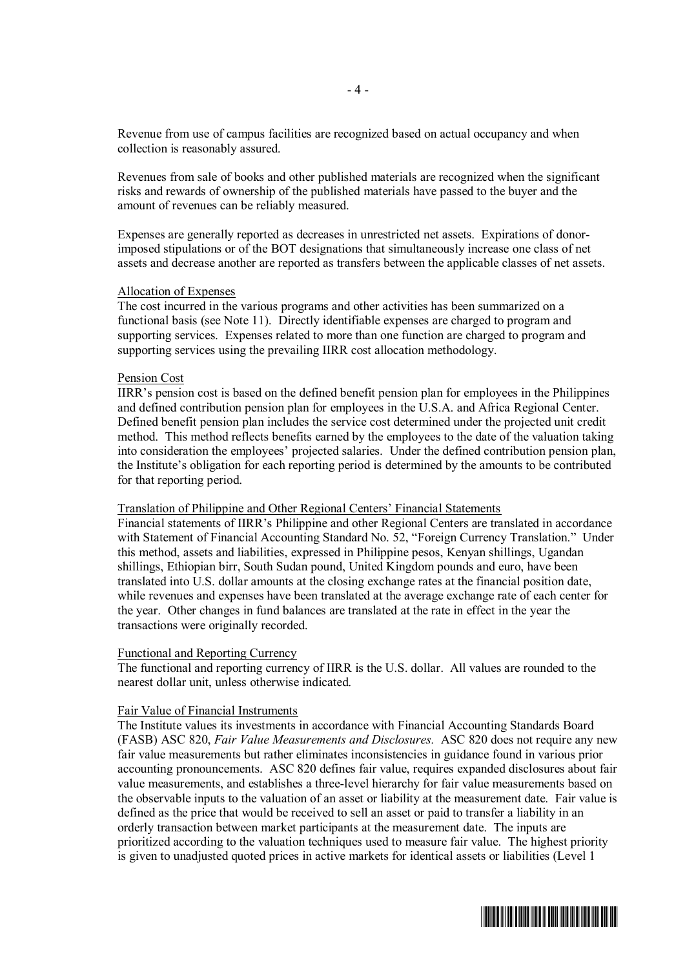Revenue from use of campus facilities are recognized based on actual occupancy and when collection is reasonably assured.

Revenues from sale of books and other published materials are recognized when the significant risks and rewards of ownership of the published materials have passed to the buyer and the amount of revenues can be reliably measured.

Expenses are generally reported as decreases in unrestricted net assets. Expirations of donorimposed stipulations or of the BOT designations that simultaneously increase one class of net assets and decrease another are reported as transfers between the applicable classes of net assets.

#### Allocation of Expenses

The cost incurred in the various programs and other activities has been summarized on a functional basis (see Note 11). Directly identifiable expenses are charged to program and supporting services. Expenses related to more than one function are charged to program and supporting services using the prevailing IIRR cost allocation methodology.

#### Pension Cost

IIRR's pension cost is based on the defined benefit pension plan for employees in the Philippines and defined contribution pension plan for employees in the U.S.A. and Africa Regional Center. Defined benefit pension plan includes the service cost determined under the projected unit credit method. This method reflects benefits earned by the employees to the date of the valuation taking into consideration the employees' projected salaries. Under the defined contribution pension plan, the Institute's obligation for each reporting period is determined by the amounts to be contributed for that reporting period.

#### Translation of Philippine and Other Regional Centers' Financial Statements

Financial statements of IIRR's Philippine and other Regional Centers are translated in accordance with Statement of Financial Accounting Standard No. 52, "Foreign Currency Translation." Under this method, assets and liabilities, expressed in Philippine pesos, Kenyan shillings, Ugandan shillings, Ethiopian birr, South Sudan pound, United Kingdom pounds and euro, have been translated into U.S. dollar amounts at the closing exchange rates at the financial position date, while revenues and expenses have been translated at the average exchange rate of each center for the year. Other changes in fund balances are translated at the rate in effect in the year the transactions were originally recorded.

#### Functional and Reporting Currency

The functional and reporting currency of IIRR is the U.S. dollar. All values are rounded to the nearest dollar unit, unless otherwise indicated.

#### Fair Value of Financial Instruments

The Institute values its investments in accordance with Financial Accounting Standards Board (FASB) ASC 820, *Fair Value Measurements and Disclosures.* ASC 820 does not require any new fair value measurements but rather eliminates inconsistencies in guidance found in various prior accounting pronouncements. ASC 820 defines fair value, requires expanded disclosures about fair value measurements, and establishes a three-level hierarchy for fair value measurements based on the observable inputs to the valuation of an asset or liability at the measurement date. Fair value is defined as the price that would be received to sell an asset or paid to transfer a liability in an orderly transaction between market participants at the measurement date. The inputs are prioritized according to the valuation techniques used to measure fair value. The highest priority is given to unadjusted quoted prices in active markets for identical assets or liabilities (Level 1

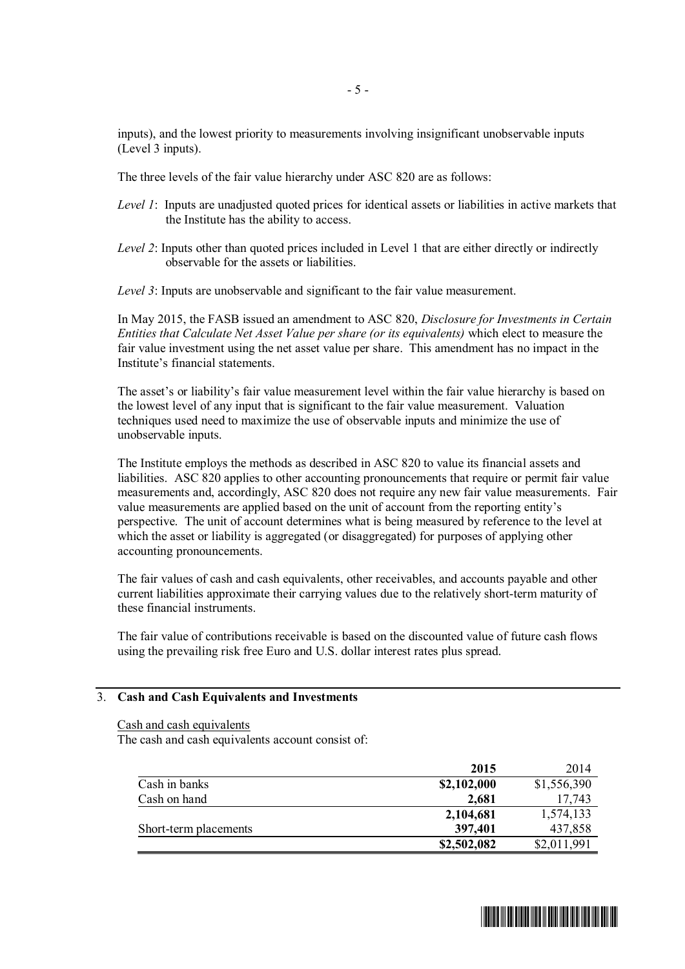inputs), and the lowest priority to measurements involving insignificant unobservable inputs (Level 3 inputs).

The three levels of the fair value hierarchy under ASC 820 are as follows:

- *Level 1*: Inputs are unadjusted quoted prices for identical assets or liabilities in active markets that the Institute has the ability to access.
- *Level 2*: Inputs other than quoted prices included in Level 1 that are either directly or indirectly observable for the assets or liabilities.

*Level 3*: Inputs are unobservable and significant to the fair value measurement.

In May 2015, the FASB issued an amendment to ASC 820, *Disclosure for Investments in Certain Entities that Calculate Net Asset Value per share (or its equivalents)* which elect to measure the fair value investment using the net asset value per share. This amendment has no impact in the Institute's financial statements.

The asset's or liability's fair value measurement level within the fair value hierarchy is based on the lowest level of any input that is significant to the fair value measurement. Valuation techniques used need to maximize the use of observable inputs and minimize the use of unobservable inputs.

The Institute employs the methods as described in ASC 820 to value its financial assets and liabilities. ASC 820 applies to other accounting pronouncements that require or permit fair value measurements and, accordingly, ASC 820 does not require any new fair value measurements. Fair value measurements are applied based on the unit of account from the reporting entity's perspective. The unit of account determines what is being measured by reference to the level at which the asset or liability is aggregated (or disaggregated) for purposes of applying other accounting pronouncements.

The fair values of cash and cash equivalents, other receivables, and accounts payable and other current liabilities approximate their carrying values due to the relatively short-term maturity of these financial instruments.

The fair value of contributions receivable is based on the discounted value of future cash flows using the prevailing risk free Euro and U.S. dollar interest rates plus spread.

### 3. **Cash and Cash Equivalents and Investments**

### Cash and cash equivalents

The cash and cash equivalents account consist of:

|                       | 2015        | 2014        |
|-----------------------|-------------|-------------|
| Cash in banks         | \$2,102,000 | \$1,556,390 |
| Cash on hand          | 2,681       | 17,743      |
|                       | 2,104,681   | 1,574,133   |
| Short-term placements | 397,401     | 437,858     |
|                       | \$2,502,082 | \$2,011,991 |

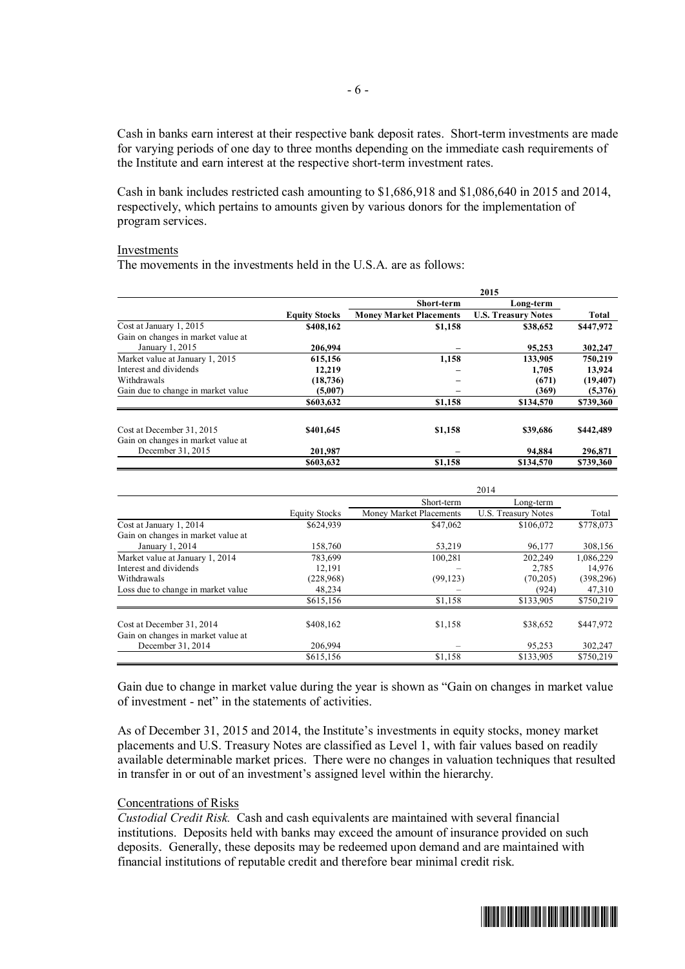Cash in banks earn interest at their respective bank deposit rates. Short-term investments are made for varying periods of one day to three months depending on the immediate cash requirements of the Institute and earn interest at the respective short-term investment rates.

Cash in bank includes restricted cash amounting to \$1,686,918 and \$1,086,640 in 2015 and 2014, respectively, which pertains to amounts given by various donors for the implementation of program services.

#### Investments

The movements in the investments held in the U.S.A. are as follows:

|                                    |                      |                                | 2015                       |           |
|------------------------------------|----------------------|--------------------------------|----------------------------|-----------|
|                                    |                      | <b>Short-term</b>              | Long-term                  |           |
|                                    | <b>Equity Stocks</b> | <b>Money Market Placements</b> | <b>U.S. Treasury Notes</b> | Total     |
| Cost at January 1, 2015            | \$408,162            | \$1,158                        | \$38,652                   | \$447,972 |
| Gain on changes in market value at |                      |                                |                            |           |
| January 1, 2015                    | 206,994              |                                | 95,253                     | 302,247   |
| Market value at January 1, 2015    | 615,156              | 1,158                          | 133,905                    | 750,219   |
| Interest and dividends             | 12,219               |                                | 1,705                      | 13,924    |
| Withdrawals                        | (18, 736)            |                                | (671)                      | (19, 407) |
| Gain due to change in market value | (5,007)              |                                | (369)                      | (5,376)   |
|                                    | \$603,632            | \$1,158                        | \$134,570                  | \$739,360 |
| Cost at December 31, 2015          | \$401,645            | \$1,158                        | \$39,686                   | \$442,489 |
| Gain on changes in market value at |                      |                                |                            |           |
| December 31, 2015                  | 201,987              |                                | 94,884                     | 296,871   |
|                                    | \$603,632            | \$1,158                        | \$134,570                  | \$739.360 |

|                                    |                      |                         | 2014                |            |
|------------------------------------|----------------------|-------------------------|---------------------|------------|
|                                    |                      | Short-term              | Long-term           |            |
|                                    | <b>Equity Stocks</b> | Money Market Placements | U.S. Treasury Notes | Total      |
| Cost at January 1, 2014            | \$624.939            | \$47,062                | \$106,072           | \$778,073  |
| Gain on changes in market value at |                      |                         |                     |            |
| January 1, 2014                    | 158,760              | 53,219                  | 96,177              | 308,156    |
| Market value at January 1, 2014    | 783,699              | 100,281                 | 202,249             | 1,086,229  |
| Interest and dividends             | 12,191               |                         | 2,785               | 14,976     |
| Withdrawals                        | (228,968)            | (99, 123)               | (70,205)            | (398, 296) |
| Loss due to change in market value | 48,234               |                         | (924)               | 47,310     |
|                                    | \$615,156            | \$1,158                 | \$133,905           | \$750,219  |
| Cost at December 31, 2014          | \$408,162            | \$1,158                 | \$38,652            | \$447,972  |
| Gain on changes in market value at |                      |                         |                     |            |
| December 31, 2014                  | 206,994              |                         | 95,253              | 302,247    |
|                                    | \$615,156            | \$1,158                 | \$133,905           | \$750,219  |

Gain due to change in market value during the year is shown as "Gain on changes in market value of investment - net" in the statements of activities.

As of December 31, 2015 and 2014, the Institute's investments in equity stocks, money market placements and U.S. Treasury Notes are classified as Level 1, with fair values based on readily available determinable market prices. There were no changes in valuation techniques that resulted in transfer in or out of an investment's assigned level within the hierarchy.

#### Concentrations of Risks

*Custodial Credit Risk.* Cash and cash equivalents are maintained with several financial institutions. Deposits held with banks may exceed the amount of insurance provided on such deposits. Generally, these deposits may be redeemed upon demand and are maintained with financial institutions of reputable credit and therefore bear minimal credit risk.

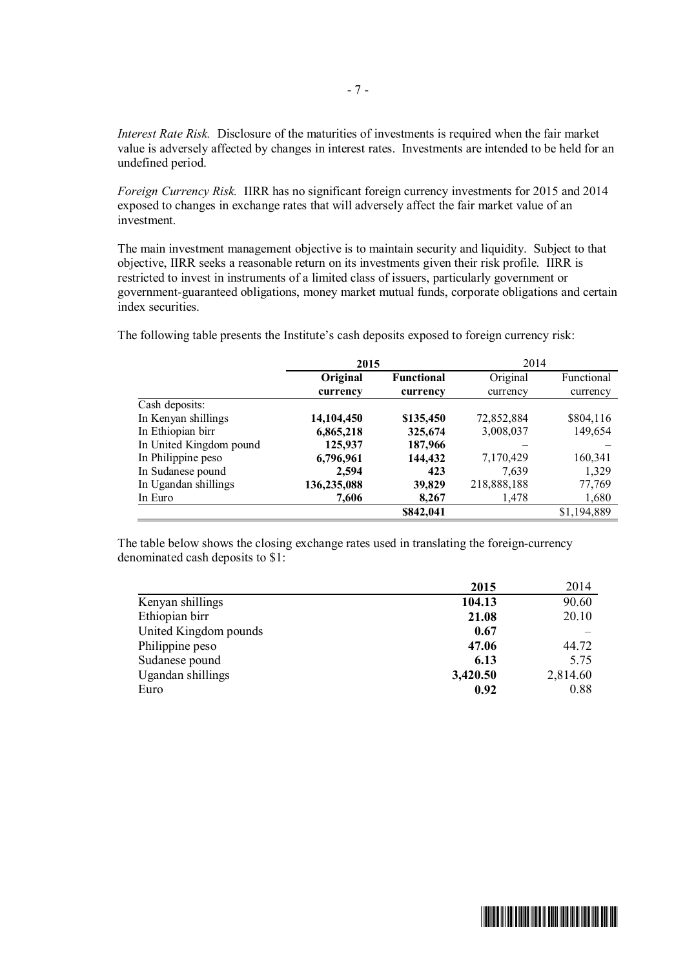*Interest Rate Risk.* Disclosure of the maturities of investments is required when the fair market value is adversely affected by changes in interest rates. Investments are intended to be held for an undefined period.

*Foreign Currency Risk.* IIRR has no significant foreign currency investments for 2015 and 2014 exposed to changes in exchange rates that will adversely affect the fair market value of an investment.

The main investment management objective is to maintain security and liquidity. Subject to that objective, IIRR seeks a reasonable return on its investments given their risk profile. IIRR is restricted to invest in instruments of a limited class of issuers, particularly government or government-guaranteed obligations, money market mutual funds, corporate obligations and certain index securities.

The following table presents the Institute's cash deposits exposed to foreign currency risk:

|                         | 2015        |                   | 2014        |             |
|-------------------------|-------------|-------------------|-------------|-------------|
|                         | Original    | <b>Functional</b> | Original    | Functional  |
|                         | currency    | currency          | currency    | currency    |
| Cash deposits:          |             |                   |             |             |
| In Kenyan shillings     | 14,104,450  | \$135,450         | 72,852,884  | \$804,116   |
| In Ethiopian birr       | 6,865,218   | 325,674           | 3,008,037   | 149,654     |
| In United Kingdom pound | 125,937     | 187,966           |             |             |
| In Philippine peso      | 6,796,961   | 144,432           | 7,170,429   | 160,341     |
| In Sudanese pound       | 2,594       | 423               | 7,639       | 1,329       |
| In Ugandan shillings    | 136,235,088 | 39,829            | 218,888,188 | 77,769      |
| In Euro                 | 7,606       | 8,267             | 1,478       | 1,680       |
|                         |             | \$842,041         |             | \$1,194,889 |

The table below shows the closing exchange rates used in translating the foreign-currency denominated cash deposits to \$1:

|                       | 2015     | 2014     |
|-----------------------|----------|----------|
| Kenyan shillings      | 104.13   | 90.60    |
| Ethiopian birr        | 21.08    | 20.10    |
| United Kingdom pounds | 0.67     |          |
| Philippine peso       | 47.06    | 44.72    |
| Sudanese pound        | 6.13     | 5.75     |
| Ugandan shillings     | 3,420.50 | 2,814.60 |
| Euro                  | 0.92     | 0.88     |

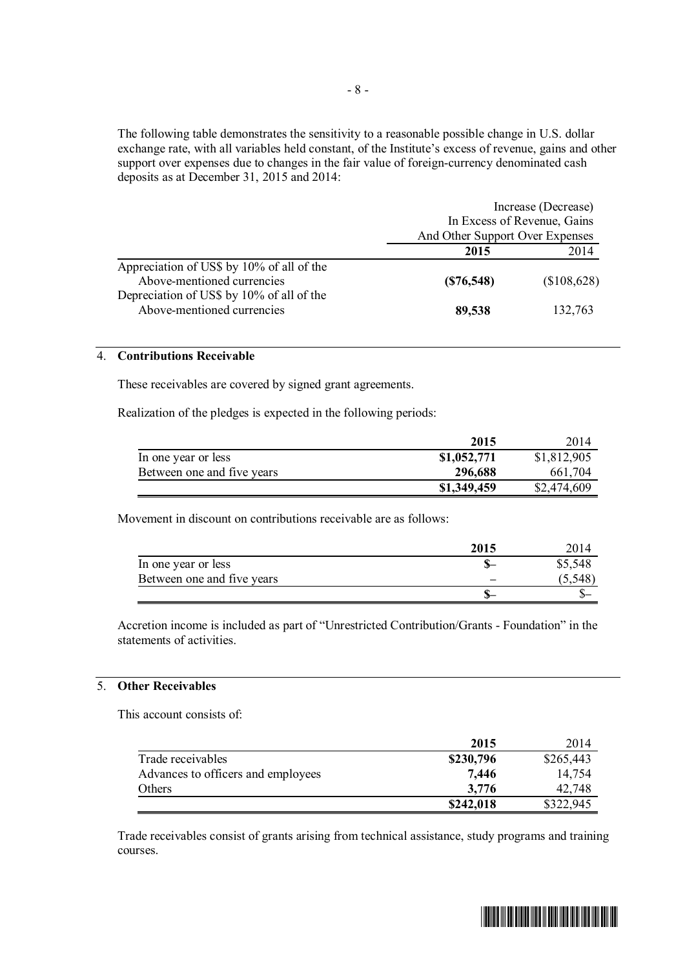The following table demonstrates the sensitivity to a reasonable possible change in U.S. dollar exchange rate, with all variables held constant, of the Institute's excess of revenue, gains and other support over expenses due to changes in the fair value of foreign-currency denominated cash deposits as at December 31, 2015 and 2014:

|                                           | Increase (Decrease)             |             |  |
|-------------------------------------------|---------------------------------|-------------|--|
|                                           | In Excess of Revenue, Gains     |             |  |
|                                           | And Other Support Over Expenses |             |  |
|                                           | 2015                            | 2014        |  |
| Appreciation of US\$ by 10% of all of the |                                 |             |  |
| Above-mentioned currencies                | (S76, 548)                      | (\$108,628) |  |
| Depreciation of US\$ by 10% of all of the |                                 |             |  |
| Above-mentioned currencies                | 89,538                          | 132,763     |  |
|                                           |                                 |             |  |

### 4. **Contributions Receivable**

These receivables are covered by signed grant agreements.

Realization of the pledges is expected in the following periods:

|                            | 2015        | 2014        |
|----------------------------|-------------|-------------|
| In one year or less        | \$1,052,771 | \$1,812,905 |
| Between one and five years | 296,688     | 661,704     |
|                            | \$1,349,459 | \$2,474,609 |

Movement in discount on contributions receivable are as follows:

|                            | 2015 |         |
|----------------------------|------|---------|
| In one year or less        |      | \$5,548 |
| Between one and five years |      | 5,548   |
|                            |      |         |

Accretion income is included as part of "Unrestricted Contribution/Grants - Foundation" in the statements of activities.

#### 5. **Other Receivables**

This account consists of:

|                                    | 2015      | 2014      |
|------------------------------------|-----------|-----------|
| Trade receivables                  | \$230,796 | \$265,443 |
| Advances to officers and employees | 7,446     | 14.754    |
| Others                             | 3.776     | 42.748    |
|                                    | \$242,018 | \$322,945 |

Trade receivables consist of grants arising from technical assistance, study programs and training courses.

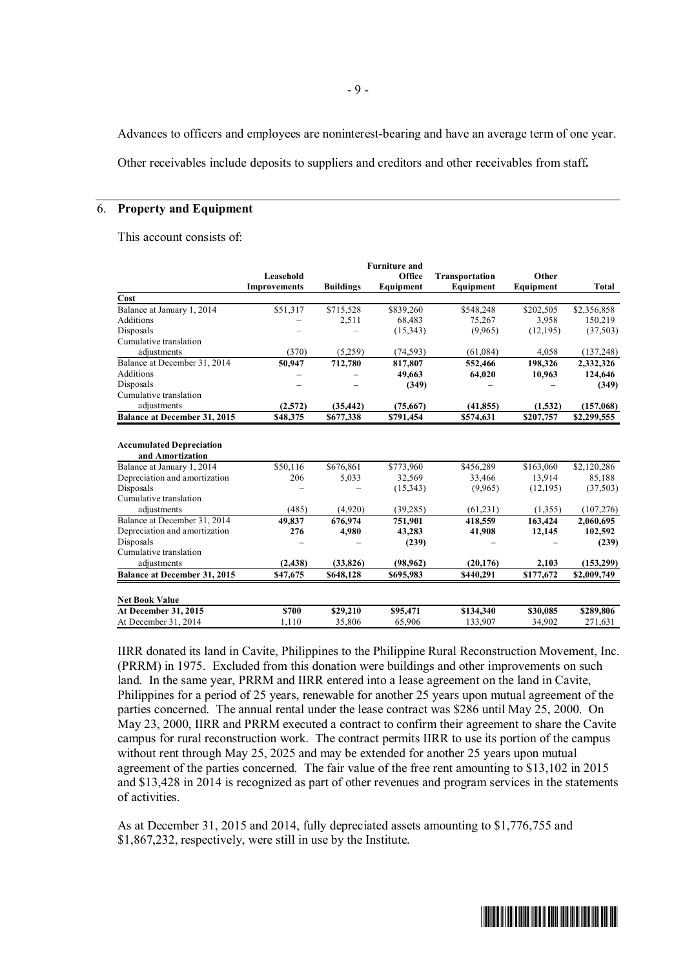Advances to officers and employees are noninterest-bearing and have an average term of one year.

Other receivables include deposits to suppliers and creditors and other receivables from staff*.*

### 6. **Property and Equipment**

This account consists of:

|                                                     |                     |                  | <b>Furniture and</b> |                       |           |             |
|-----------------------------------------------------|---------------------|------------------|----------------------|-----------------------|-----------|-------------|
|                                                     | Leasehold           |                  | Office               | <b>Transportation</b> | Other     |             |
|                                                     | <b>Improvements</b> | <b>Buildings</b> | Equipment            | Equipment             | Equipment | Total       |
| Cost                                                |                     |                  |                      |                       |           |             |
| Balance at January 1, 2014                          | \$51,317            | \$715,528        | \$839,260            | \$548,248             | \$202,505 | \$2,356,858 |
| Additions                                           |                     | 2,511            | 68,483               | 75,267                | 3,958     | 150,219     |
| Disposals                                           |                     |                  | (15,343)             | (9,965)               | (12, 195) | (37,503)    |
| Cumulative translation                              |                     |                  |                      |                       |           |             |
| adjustments                                         | (370)               | (5,259)          | (74, 593)            | (61,084)              | 4,058     | (137,248)   |
| Balance at December 31, 2014                        | 50.947              | 712,780          | 817,807              | 552,466               | 198,326   | 2,332,326   |
| <b>Additions</b>                                    |                     |                  | 49,663               | 64,020                | 10,963    | 124,646     |
| Disposals                                           |                     |                  | (349)                |                       |           | (349)       |
| Cumulative translation                              |                     |                  |                      |                       |           |             |
| adjustments                                         | (2,572)             | (35, 442)        | (75,667)             | (41, 855)             | (1,532)   | (157,068)   |
| <b>Balance at December 31, 2015</b>                 | \$48,375            | \$677,338        | \$791,454            | \$574,631             | \$207,757 | \$2,299,555 |
| <b>Accumulated Depreciation</b><br>and Amortization |                     |                  |                      |                       |           |             |
|                                                     |                     |                  |                      |                       |           |             |
| Balance at January 1, 2014                          | \$50,116<br>206     | \$676,861        | \$773,960            | \$456,289             | \$163,060 | \$2,120,286 |
| Depreciation and amortization                       |                     | 5,033            | 32,569               | 33,466                | 13,914    | 85,188      |
| Disposals<br>Cumulative translation                 |                     |                  | (15,343)             | (9.965)               | (12, 195) | (37,503)    |
|                                                     |                     |                  |                      |                       |           |             |
| adjustments                                         | (485)               | (4.920)          | (39, 285)            | (61,231)              | (1,355)   | (107, 276)  |
| Balance at December 31, 2014                        | 49,837              | 676,974          | 751,901              | 418,559               | 163,424   | 2,060,695   |
| Depreciation and amortization<br>Disposals          | 276                 | 4,980            | 43,283               | 41,908                | 12,145    | 102,592     |
| Cumulative translation                              |                     |                  | (239)                |                       |           | (239)       |
| adjustments                                         |                     | (33,826)         |                      |                       | 2,103     |             |
|                                                     | (2, 438)            |                  | (98, 962)            | (20, 176)             |           | (153,299)   |
| <b>Balance at December 31, 2015</b>                 | \$47,675            | \$648,128        | \$695,983            | \$440,291             | \$177,672 | \$2,009,749 |
| <b>Net Book Value</b>                               |                     |                  |                      |                       |           |             |
| At December 31, 2015                                | \$700               | \$29,210         | \$95,471             | \$134,340             | \$30,085  | \$289,806   |
| At December 31, 2014                                | 1.110               | 35.806           | 65.906               | 133.907               | 34.902    | 271.631     |

IIRR donated its land in Cavite, Philippines to the Philippine Rural Reconstruction Movement, Inc. (PRRM) in 1975. Excluded from this donation were buildings and other improvements on such land. In the same year, PRRM and IIRR entered into a lease agreement on the land in Cavite, Philippines for a period of 25 years, renewable for another 25 years upon mutual agreement of the parties concerned. The annual rental under the lease contract was \$286 until May 25, 2000. On May 23, 2000, IIRR and PRRM executed a contract to confirm their agreement to share the Cavite campus for rural reconstruction work. The contract permits IIRR to use its portion of the campus without rent through May 25, 2025 and may be extended for another 25 years upon mutual agreement of the parties concerned. The fair value of the free rent amounting to \$13,102 in 2015 and \$13,428 in 2014 is recognized as part of other revenues and program services in the statements of activities.

As at December 31, 2015 and 2014, fully depreciated assets amounting to \$1,776,755 and \$1,867,232, respectively, were still in use by the Institute.

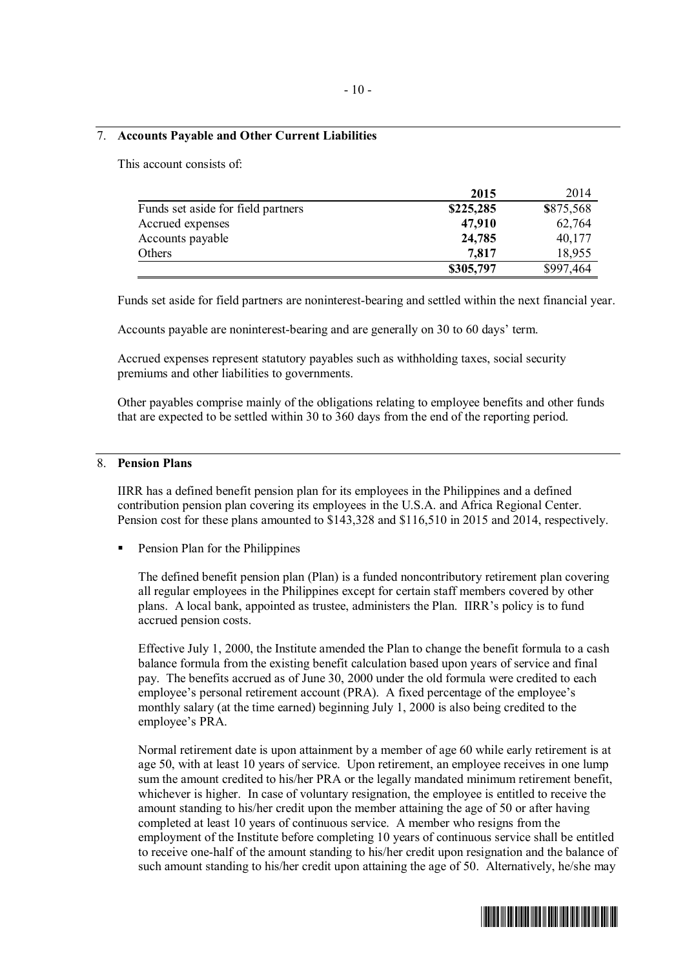## 7. **Accounts Payable and Other Current Liabilities**

This account consists of:

|                                    | 2015      | 2014      |
|------------------------------------|-----------|-----------|
| Funds set aside for field partners | \$225,285 | \$875,568 |
| Accrued expenses                   | 47,910    | 62,764    |
| Accounts payable                   | 24,785    | 40,177    |
| Others                             | 7,817     | 18,955    |
|                                    | \$305,797 | \$997,464 |

Funds set aside for field partners are noninterest-bearing and settled within the next financial year.

Accounts payable are noninterest-bearing and are generally on 30 to 60 days' term.

Accrued expenses represent statutory payables such as withholding taxes, social security premiums and other liabilities to governments.

Other payables comprise mainly of the obligations relating to employee benefits and other funds that are expected to be settled within 30 to 360 days from the end of the reporting period.

## 8. **Pension Plans**

IIRR has a defined benefit pension plan for its employees in the Philippines and a defined contribution pension plan covering its employees in the U.S.A. and Africa Regional Center. Pension cost for these plans amounted to \$143,328 and \$116,510 in 2015 and 2014, respectively.

§ Pension Plan for the Philippines

The defined benefit pension plan (Plan) is a funded noncontributory retirement plan covering all regular employees in the Philippines except for certain staff members covered by other plans. A local bank, appointed as trustee, administers the Plan. IIRR's policy is to fund accrued pension costs.

Effective July 1, 2000, the Institute amended the Plan to change the benefit formula to a cash balance formula from the existing benefit calculation based upon years of service and final pay. The benefits accrued as of June 30, 2000 under the old formula were credited to each employee's personal retirement account (PRA). A fixed percentage of the employee's monthly salary (at the time earned) beginning July 1, 2000 is also being credited to the employee's PRA.

Normal retirement date is upon attainment by a member of age 60 while early retirement is at age 50, with at least 10 years of service. Upon retirement, an employee receives in one lump sum the amount credited to his/her PRA or the legally mandated minimum retirement benefit, whichever is higher. In case of voluntary resignation, the employee is entitled to receive the amount standing to his/her credit upon the member attaining the age of 50 or after having completed at least 10 years of continuous service. A member who resigns from the employment of the Institute before completing 10 years of continuous service shall be entitled to receive one-half of the amount standing to his/her credit upon resignation and the balance of such amount standing to his/her credit upon attaining the age of 50. Alternatively, he/she may

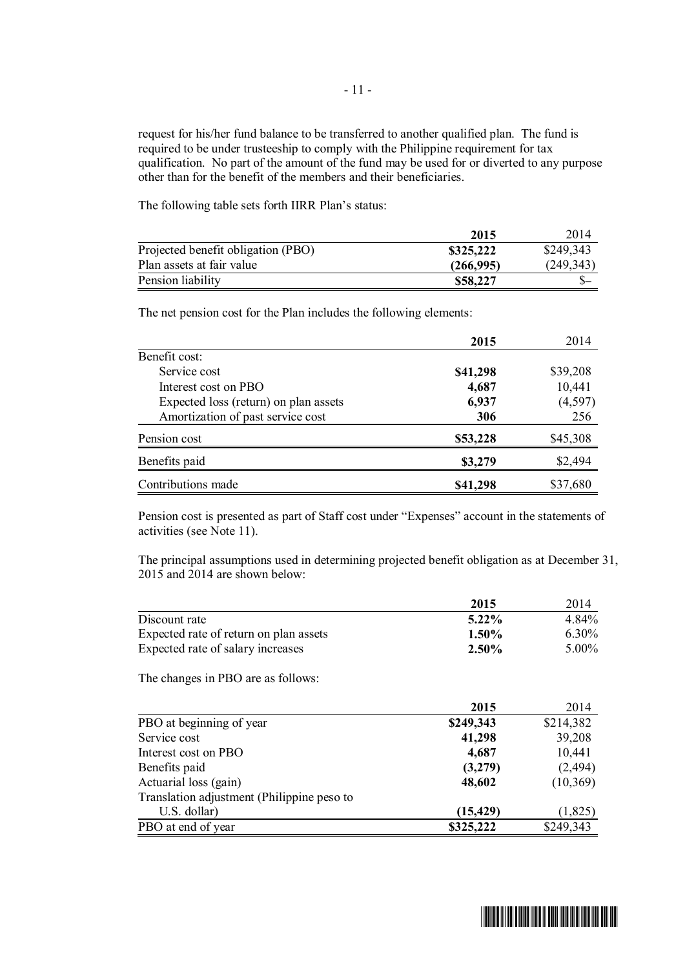request for his/her fund balance to be transferred to another qualified plan. The fund is required to be under trusteeship to comply with the Philippine requirement for tax qualification. No part of the amount of the fund may be used for or diverted to any purpose other than for the benefit of the members and their beneficiaries.

The following table sets forth IIRR Plan's status:

|                                    | 2015      | 2014       |
|------------------------------------|-----------|------------|
| Projected benefit obligation (PBO) | \$325,222 | \$249,343  |
| Plan assets at fair value          | (266,995) | (249, 343) |
| Pension liability                  | \$58,227  |            |

The net pension cost for the Plan includes the following elements:

|                                       | 2015     | 2014     |
|---------------------------------------|----------|----------|
| Benefit cost:                         |          |          |
| Service cost                          | \$41,298 | \$39,208 |
| Interest cost on PBO                  | 4,687    | 10,441   |
| Expected loss (return) on plan assets | 6,937    | (4,597)  |
| Amortization of past service cost     | 306      | 256      |
| Pension cost                          | \$53,228 | \$45,308 |
| Benefits paid                         | \$3,279  | \$2,494  |
| Contributions made                    | \$41,298 | \$37,680 |

Pension cost is presented as part of Staff cost under "Expenses" account in the statements of activities (see Note 11).

The principal assumptions used in determining projected benefit obligation as at December 31,  $2015$  and  $2014$  are shown below:

|                                        | 2015     | 2014  |
|----------------------------------------|----------|-------|
| Discount rate                          | $5.22\%$ | 4.84% |
| Expected rate of return on plan assets | $1.50\%$ | 6.30% |
| Expected rate of salary increases      | $2.50\%$ | 5.00% |

The changes in PBO are as follows:

|                                            | 2015      | 2014      |
|--------------------------------------------|-----------|-----------|
| PBO at beginning of year                   | \$249,343 | \$214,382 |
| Service cost                               | 41,298    | 39,208    |
| Interest cost on PBO                       | 4,687     | 10,441    |
| Benefits paid                              | (3,279)   | (2, 494)  |
| Actuarial loss (gain)                      | 48,602    | (10, 369) |
| Translation adjustment (Philippine peso to |           |           |
| U.S. dollar)                               | (15, 429) | (1,825)   |
| PBO at end of year                         | \$325,222 | \$249,343 |

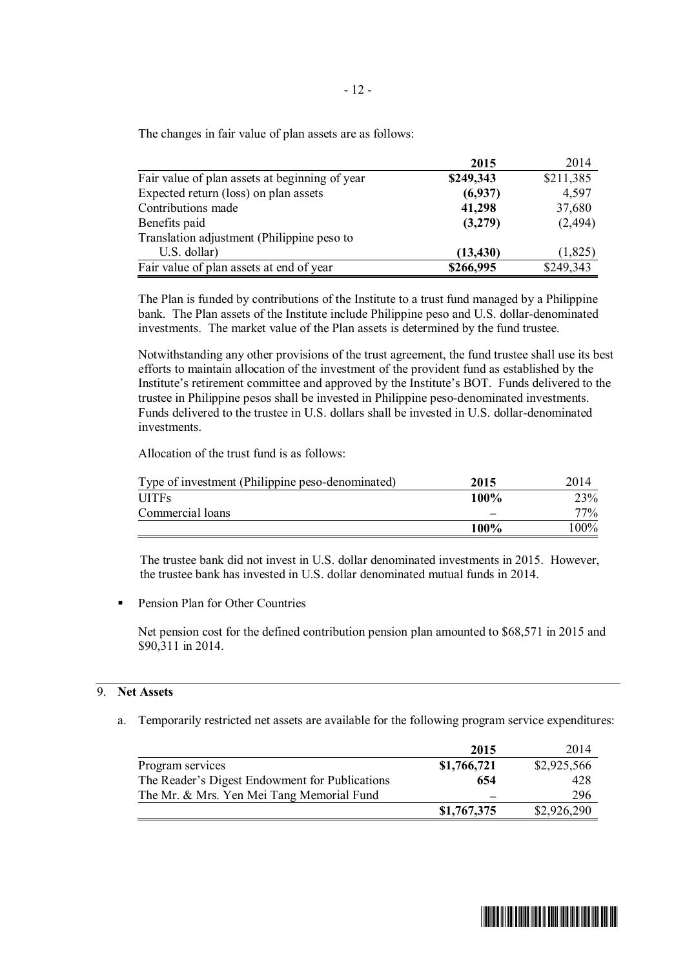The changes in fair value of plan assets are as follows:

|                                                | 2015      | 2014      |
|------------------------------------------------|-----------|-----------|
| Fair value of plan assets at beginning of year | \$249,343 | \$211,385 |
| Expected return (loss) on plan assets          | (6,937)   | 4,597     |
| Contributions made                             | 41,298    | 37,680    |
| Benefits paid                                  | (3,279)   | (2, 494)  |
| Translation adjustment (Philippine peso to     |           |           |
| U.S. dollar)                                   | (13, 430) | (1,825)   |
| Fair value of plan assets at end of year       | \$266,995 | \$249,343 |

The Plan is funded by contributions of the Institute to a trust fund managed by a Philippine bank. The Plan assets of the Institute include Philippine peso and U.S. dollar-denominated investments. The market value of the Plan assets is determined by the fund trustee.

Notwithstanding any other provisions of the trust agreement, the fund trustee shall use its best efforts to maintain allocation of the investment of the provident fund as established by the Institute's retirement committee and approved by the Institute's BOT. Funds delivered to the trustee in Philippine pesos shall be invested in Philippine peso-denominated investments. Funds delivered to the trustee in U.S. dollars shall be invested in U.S. dollar-denominated investments.

Allocation of the trust fund is as follows:

| Type of investment (Philippine peso-denominated) | 2015    | 2014 |
|--------------------------------------------------|---------|------|
| <b>UITES</b>                                     | $100\%$ | 23%  |
| Commercial loans                                 |         | 77%  |
|                                                  | $100\%$ | 100% |

The trustee bank did not invest in U.S. dollar denominated investments in 2015. However, the trustee bank has invested in U.S. dollar denominated mutual funds in 2014.

■ Pension Plan for Other Countries

Net pension cost for the defined contribution pension plan amounted to \$68,571 in 2015 and \$90,311 in 2014.

#### 9. **Net Assets**

a. Temporarily restricted net assets are available for the following program service expenditures:

|                                                | 2015        | 2014        |
|------------------------------------------------|-------------|-------------|
| Program services                               | \$1,766,721 | \$2,925,566 |
| The Reader's Digest Endowment for Publications | 654         | 428         |
| The Mr. & Mrs. Yen Mei Tang Memorial Fund      |             | 296         |
|                                                | \$1,767,375 | \$2,926,290 |

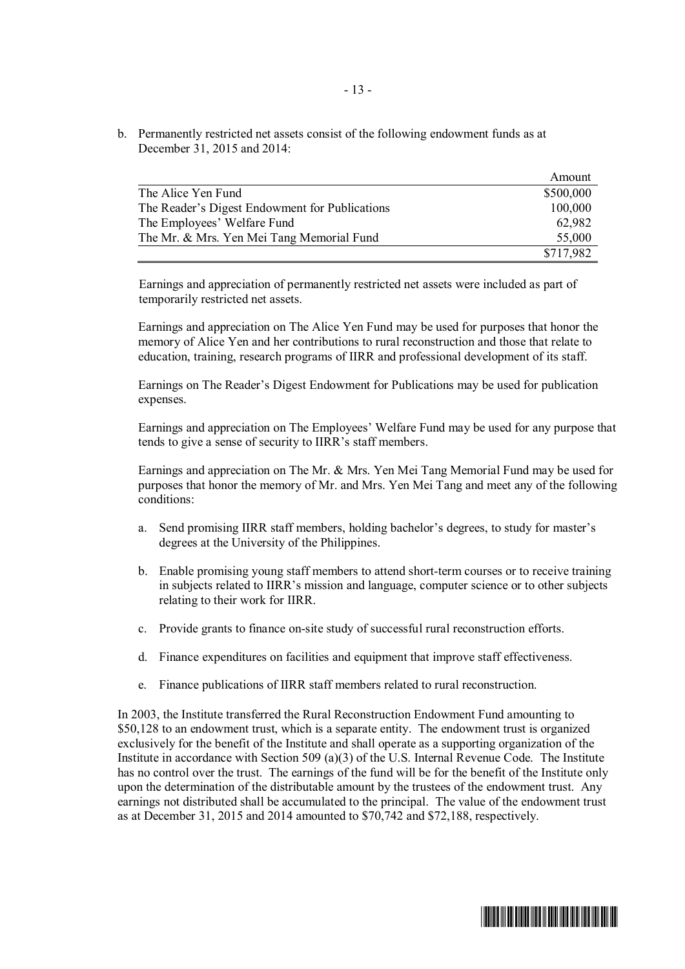b. Permanently restricted net assets consist of the following endowment funds as at December 31, 2015 and 2014:

|                                                | Amount    |
|------------------------------------------------|-----------|
| The Alice Yen Fund                             | \$500,000 |
| The Reader's Digest Endowment for Publications | 100,000   |
| The Employees' Welfare Fund                    | 62,982    |
| The Mr. & Mrs. Yen Mei Tang Memorial Fund      | 55,000    |
|                                                | \$717,982 |

Earnings and appreciation of permanently restricted net assets were included as part of temporarily restricted net assets.

Earnings and appreciation on The Alice Yen Fund may be used for purposes that honor the memory of Alice Yen and her contributions to rural reconstruction and those that relate to education, training, research programs of IIRR and professional development of its staff.

Earnings on The Reader's Digest Endowment for Publications may be used for publication expenses.

Earnings and appreciation on The Employees' Welfare Fund may be used for any purpose that tends to give a sense of security to IIRR's staff members.

Earnings and appreciation on The Mr. & Mrs. Yen Mei Tang Memorial Fund may be used for purposes that honor the memory of Mr. and Mrs. Yen Mei Tang and meet any of the following conditions:

- a. Send promising IIRR staff members, holding bachelor's degrees, to study for master's degrees at the University of the Philippines.
- b. Enable promising young staff members to attend short-term courses or to receive training in subjects related to IIRR's mission and language, computer science or to other subjects relating to their work for IIRR.
- c. Provide grants to finance on-site study of successful rural reconstruction efforts.
- d. Finance expenditures on facilities and equipment that improve staff effectiveness.
- e. Finance publications of IIRR staff members related to rural reconstruction.

In 2003, the Institute transferred the Rural Reconstruction Endowment Fund amounting to \$50,128 to an endowment trust, which is a separate entity. The endowment trust is organized exclusively for the benefit of the Institute and shall operate as a supporting organization of the Institute in accordance with Section 509 (a)(3) of the U.S. Internal Revenue Code. The Institute has no control over the trust. The earnings of the fund will be for the benefit of the Institute only upon the determination of the distributable amount by the trustees of the endowment trust. Any earnings not distributed shall be accumulated to the principal. The value of the endowment trust as at December 31, 2015 and 2014 amounted to \$70,742 and \$72,188, respectively.

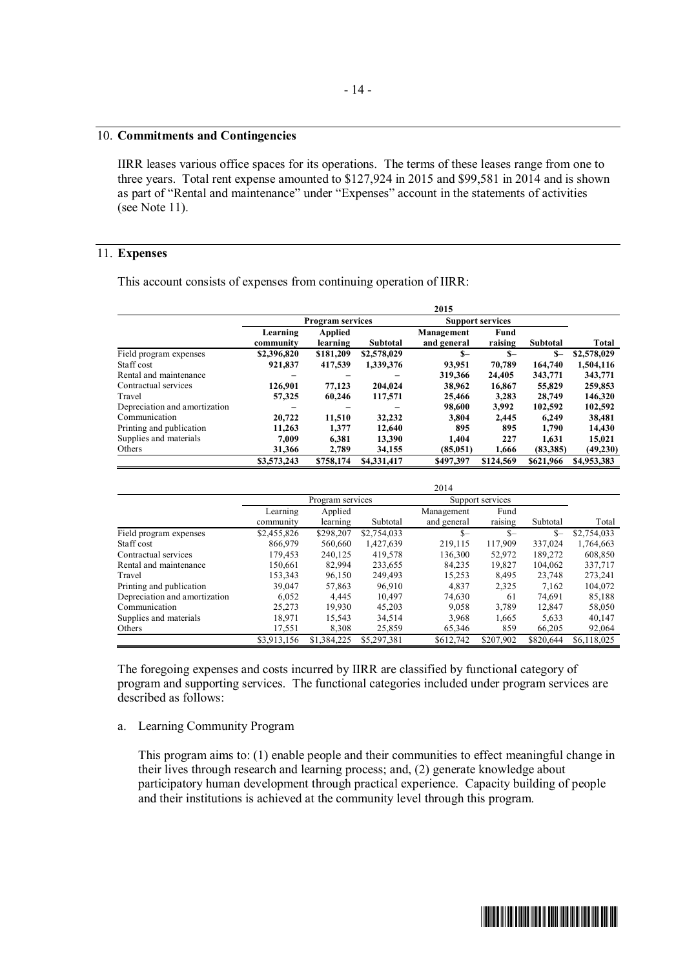## 10. **Commitments and Contingencies**

IIRR leases various office spaces for its operations. The terms of these leases range from one to three years. Total rent expense amounted to \$127,924 in 2015 and \$99,581 in 2014 and is shown as part of "Rental and maintenance" under "Expenses" account in the statements of activities (see Note 11).

## 11. **Expenses**

This account consists of expenses from continuing operation of IIRR:

|                               |                         |                |                 | 2015        |                         |                 |             |
|-------------------------------|-------------------------|----------------|-----------------|-------------|-------------------------|-----------------|-------------|
|                               | <b>Program services</b> |                |                 |             | <b>Support services</b> |                 |             |
|                               | Learning                | <b>Applied</b> |                 | Management  | Fund                    |                 |             |
|                               | community               | learning       | <b>Subtotal</b> | and general | raising                 | <b>Subtotal</b> | Total       |
| Field program expenses        | \$2,396,820             | \$181,209      | \$2,578,029     | $S-$        | $S-$                    | $S-$            | \$2,578,029 |
| Staff cost                    | 921.837                 | 417,539        | 1,339,376       | 93.951      | 70,789                  | 164,740         | 1,504,116   |
| Rental and maintenance        |                         |                |                 | 319,366     | 24,405                  | 343,771         | 343,771     |
| Contractual services          | 126.901                 | 77,123         | 204,024         | 38,962      | 16,867                  | 55,829          | 259,853     |
| Travel                        | 57,325                  | 60,246         | 117,571         | 25,466      | 3,283                   | 28,749          | 146,320     |
| Depreciation and amortization |                         |                |                 | 98,600      | 3,992                   | 102,592         | 102,592     |
| Communication                 | 20,722                  | 11,510         | 32,232          | 3,804       | 2,445                   | 6,249           | 38,481      |
| Printing and publication      | 11.263                  | 1.377          | 12.640          | 895         | 895                     | 1.790           | 14.430      |
| Supplies and materials        | 7.009                   | 6.381          | 13,390          | 1.404       | 227                     | 1.631           | 15,021      |
| Others                        | 31,366                  | 2,789          | 34,155          | (85,051)    | 1,666                   | (83,385)        | (49,230)    |
|                               | \$3,573,243             | \$758,174      | \$4,331,417     | \$497,397   | \$124,569               | \$621,966       | \$4,953,383 |

|                               |                  |             |             | 2014        |                  |           |             |
|-------------------------------|------------------|-------------|-------------|-------------|------------------|-----------|-------------|
|                               | Program services |             |             |             | Support services |           |             |
|                               | Learning         | Applied     |             | Management  | Fund             |           |             |
|                               | community        | learning    | Subtotal    | and general | raising          | Subtotal  | Total       |
| Field program expenses        | \$2,455,826      | \$298,207   | \$2,754,033 | $S-$        | $S-$             | $S-$      | \$2,754,033 |
| Staff cost                    | 866,979          | 560,660     | 1,427,639   | 219,115     | 117,909          | 337,024   | 1,764,663   |
| Contractual services          | 179.453          | 240.125     | 419,578     | 136,300     | 52,972           | 189,272   | 608,850     |
| Rental and maintenance        | 150,661          | 82,994      | 233,655     | 84,235      | 19,827           | 104,062   | 337,717     |
| Travel                        | 153,343          | 96,150      | 249,493     | 15,253      | 8,495            | 23,748    | 273,241     |
| Printing and publication      | 39,047           | 57,863      | 96,910      | 4,837       | 2,325            | 7,162     | 104,072     |
| Depreciation and amortization | 6.052            | 4.445       | 10.497      | 74.630      | 61               | 74.691    | 85,188      |
| Communication                 | 25,273           | 19,930      | 45,203      | 9,058       | 3,789            | 12,847    | 58,050      |
| Supplies and materials        | 18,971           | 15,543      | 34,514      | 3,968       | 1,665            | 5,633     | 40,147      |
| Others                        | 17,551           | 8,308       | 25,859      | 65,346      | 859              | 66,205    | 92,064      |
|                               | \$3,913,156      | \$1.384.225 | \$5,297,381 | \$612.742   | \$207.902        | \$820.644 | \$6.118.025 |

The foregoing expenses and costs incurred by IIRR are classified by functional category of program and supporting services. The functional categories included under program services are described as follows:

### a. Learning Community Program

This program aims to: (1) enable people and their communities to effect meaningful change in their lives through research and learning process; and, (2) generate knowledge about participatory human development through practical experience. Capacity building of people and their institutions is achieved at the community level through this program.

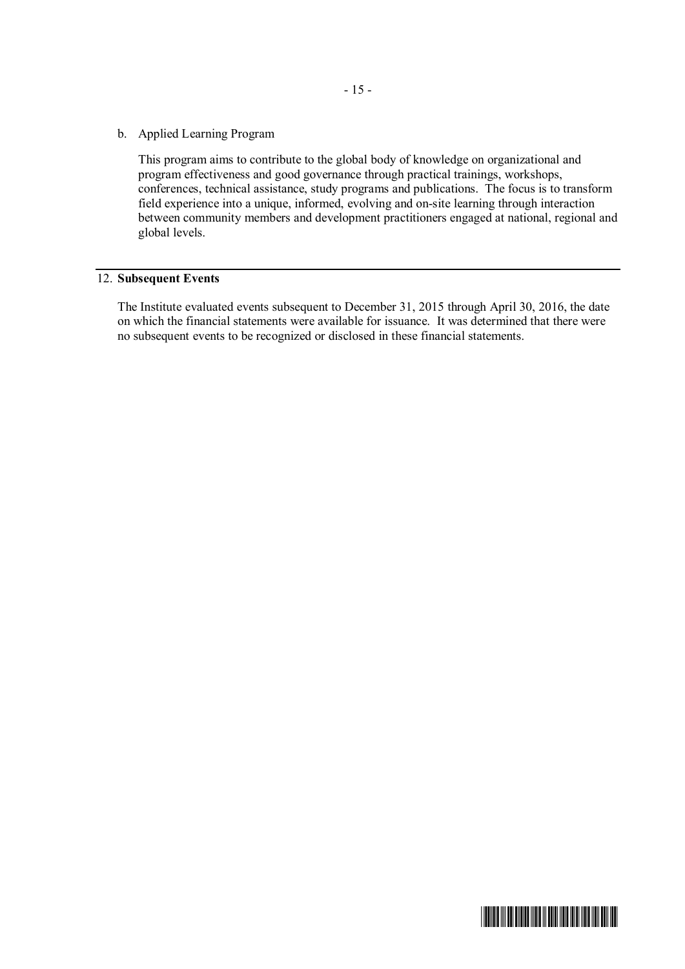b. Applied Learning Program

This program aims to contribute to the global body of knowledge on organizational and program effectiveness and good governance through practical trainings, workshops, conferences, technical assistance, study programs and publications. The focus is to transform field experience into a unique, informed, evolving and on-site learning through interaction between community members and development practitioners engaged at national, regional and global levels.

## 12. **Subsequent Events**

The Institute evaluated events subsequent to December 31, 2015 through April 30, 2016, the date on which the financial statements were available for issuance. It was determined that there were no subsequent events to be recognized or disclosed in these financial statements.

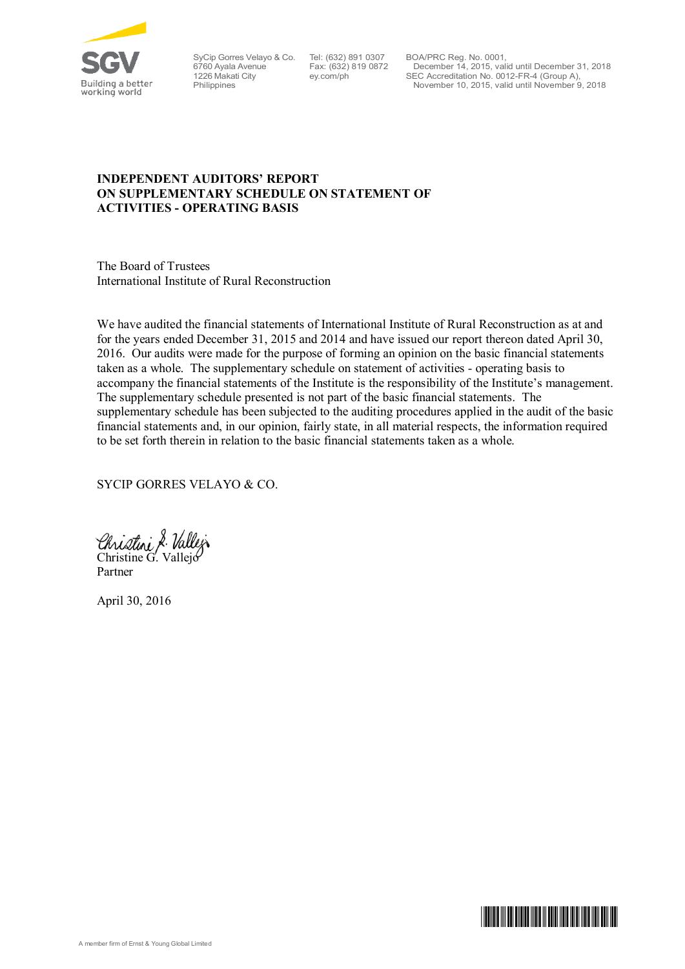

SyCip Gorres Velayo & Co. 6760 Ayala Avenue 1226 Makati City Philippines

Tel: (632) 891 0307 Fax: (632) 819 0872 ey.com/ph

BOA/PRC Reg. No. 0001, December 14, 2015, valid until December 31, 2018 SEC Accreditation No. 0012-FR-4 (Group A), November 10, 2015, valid until November 9, 2018

## **INDEPENDENT AUDITORS' REPORT ON SUPPLEMENTARY SCHEDULE ON STATEMENT OF ACTIVITIES - OPERATING BASIS**

The Board of Trustees International Institute of Rural Reconstruction

We have audited the financial statements of International Institute of Rural Reconstruction as at and for the years ended December 31, 2015 and 2014 and have issued our report thereon dated April 30, 2016. Our audits were made for the purpose of forming an opinion on the basic financial statements taken as a whole. The supplementary schedule on statement of activities - operating basis to accompany the financial statements of the Institute is the responsibility of the Institute's management. The supplementary schedule presented is not part of the basic financial statements. The supplementary schedule has been subjected to the auditing procedures applied in the audit of the basic financial statements and, in our opinion, fairly state, in all material respects, the information required to be set forth therein in relation to the basic financial statements taken as a whole.

SYCIP GORRES VELAYO & CO.

Christine & Vallej

Partner

April 30, 2016